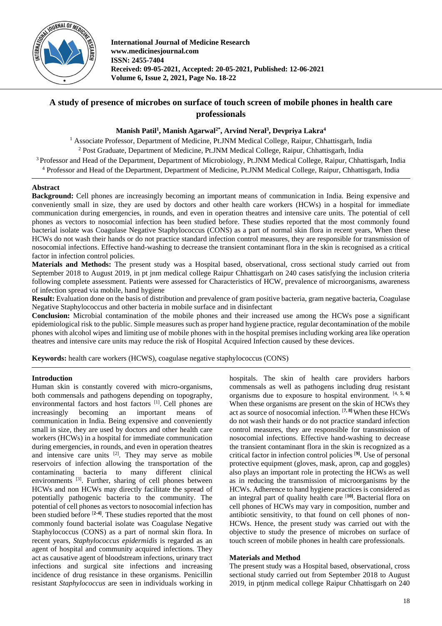

**International Journal of Medicine Research www.medicinesjournal.com ISSN: 2455-7404 Received: 09-05-2021, Accepted: 20-05-2021, Published: 12-06-2021 Volume 6, Issue 2, 2021, Page No. 18-22**

# **A study of presence of microbes on surface of touch screen of mobile phones in health care professionals**

# **Manish Patil<sup>1</sup> , Manish Agarwal2\*, Arvind Neral<sup>3</sup> , Devpriya Lakra<sup>4</sup>**

<sup>1</sup> Associate Professor, Department of Medicine, Pt.JNM Medical College, Raipur, Chhattisgarh, India

<sup>2</sup> Post Graduate, Department of Medicine, Pt.JNM Medical College, Raipur, Chhattisgarh, India

<sup>3</sup> Professor and Head of the Department, Department of Microbiology, Pt.JNM Medical College, Raipur, Chhattisgarh, India

<sup>4</sup> Professor and Head of the Department, Department of Medicine, Pt.JNM Medical College, Raipur, Chhattisgarh, India

# **Abstract**

**Background:** Cell phones are increasingly becoming an important means of communication in India. Being expensive and conveniently small in size, they are used by doctors and other health care workers (HCWs) in a hospital for immediate communication during emergencies, in rounds, and even in operation theatres and intensive care units. The potential of cell phones as vectors to nosocomial infection has been studied before. These studies reported that the most commonly found bacterial isolate was Coagulase Negative Staphylococcus (CONS) as a part of normal skin flora in recent years, When these HCWs do not wash their hands or do not practice standard infection control measures, they are responsible for transmission of nosocomial infections. Effective hand-washing to decrease the transient contaminant flora in the skin is recognised as a critical factor in infection control policies.

**Materials and Methods:** The present study was a Hospital based, observational, cross sectional study carried out from September 2018 to August 2019, in pt jnm medical college Raipur Chhattisgarh on 240 cases satisfying the inclusion criteria following complete assessment. Patients were assessed for Characteristics of HCW, prevalence of microorganisms, awareness of infection spread via mobile, hand hygiene

**Result:** Evaluation done on the basis of distribution and prevalence of gram positive bacteria, gram negative bacteria, Coagulase Negative Staphylococcus and other bacteria in mobile surface and in disinfectant

**Conclusion:** Microbial contamination of the mobile phones and their increased use among the HCWs pose a significant epidemiological risk to the public. Simple measures such as proper hand hygiene practice, regular decontamination of the mobile phones with alcohol wipes and limiting use of mobile phones with in the hospital premises including working area like operation theatres and intensive care units may reduce the risk of Hospital Acquired Infection caused by these devices.

**Keywords:** health care workers (HCWS), coagulase negative staphylococcus (CONS)

# **Introduction**

Human skin is constantly covered with micro-organisms, both commensals and pathogens depending on topography, environmental factors and host factors <sup>[1]</sup>. Cell phones are increasingly becoming an important means of communication in India. Being expensive and conveniently small in size, they are used by doctors and other health care workers (HCWs) in a hospital for immediate communication during emergencies, in rounds, and even in operation theatres and intensive care units  $[2]$ . They may serve as mobile reservoirs of infection allowing the transportation of the contaminating bacteria to many different clinical environments<sup>[3]</sup>. Further, sharing of cell phones between HCWs and non HCWs may directly facilitate the spread of potentially pathogenic bacteria to the community. The potential of cell phones as vectors to nosocomial infection has been studied before [**2-4]** . These studies reported that the most commonly found bacterial isolate was Coagulase Negative Staphylococcus (CONS) as a part of normal skin flora. In recent years, *Staphylococcus epidermidis* is regarded as an agent of hospital and community acquired infections. They act as causative agent of bloodstream infections, urinary tract infections and surgical site infections and increasing incidence of drug resistance in these organisms. Penicillin resistant *Staphylococcus* are seen in individuals working in hospitals. The skin of health care providers harbors commensals as well as pathogens including drug resistant organisms due to exposure to hospital environment. [4, **5, 6]** When these organisms are present on the skin of HCWs they act as source of nosocomial infection. [**7, 8]**When these HCWs do not wash their hands or do not practice standard infection control measures, they are responsible for transmission of nosocomial infections. Effective hand-washing to decrease the transient contaminant flora in the skin is recognized as a critical factor in infection control policies [**9]** . Use of personal protective equipment (gloves, mask, apron, cap and goggles) also plays an important role in protecting the HCWs as well as in reducing the transmission of microorganisms by the HCWs. Adherence to hand hygiene practices is considered as an integral part of quality health care [**10]** . Bacterial flora on cell phones of HCWs may vary in composition, number and antibiotic sensitivity, to that found on cell phones of non-HCWs. Hence, the present study was carried out with the objective to study the presence of microbes on surface of touch screen of mobile phones in health care professionals.

## **Materials and Method**

The present study was a Hospital based, observational, cross sectional study carried out from September 2018 to August 2019, in ptjnm medical college Raipur Chhattisgarh on 240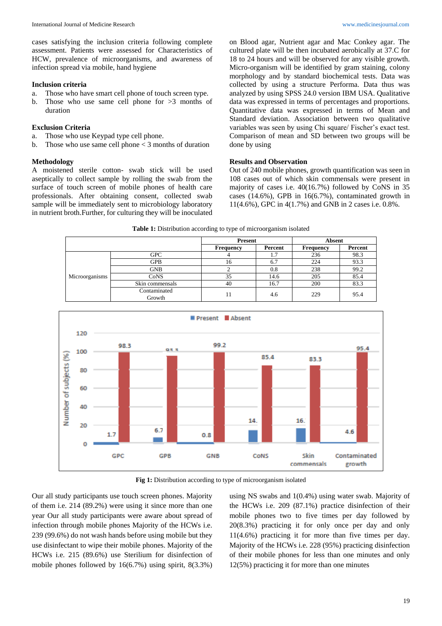cases satisfying the inclusion criteria following complete assessment. Patients were assessed for Characteristics of HCW, prevalence of microorganisms, and awareness of infection spread via mobile, hand hygiene

#### **Inclusion criteria**

- a. Those who have smart cell phone of touch screen type.
- b. Those who use same cell phone for  $>3$  months of duration

### **Exclusion Criteria**

- a. Those who use Keypad type cell phone.
- b. Those who use same cell phone < 3 months of duration

#### **Methodology**

A moistened sterile cotton- swab stick will be used aseptically to collect sample by rolling the swab from the surface of touch screen of mobile phones of health care professionals. After obtaining consent, collected swab sample will be immediately sent to microbiology laboratory in nutrient broth.Further, for culturing they will be inoculated on Blood agar, Nutrient agar and Mac Conkey agar. The cultured plate will be then incubated aerobically at 37.C for 18 to 24 hours and will be observed for any visible growth. Micro-organism will be identified by gram staining, colony morphology and by standard biochemical tests. Data was collected by using a structure Performa. Data thus was analyzed by using SPSS 24.0 version IBM USA. Qualitative data was expressed in terms of percentages and proportions. Quantitative data was expressed in terms of Mean and Standard deviation. Association between two qualitative variables was seen by using Chi square/ Fischer's exact test. Comparison of mean and SD between two groups will be done by using

#### **Results and Observation**

Out of 240 mobile phones, growth quantification was seen in 108 cases out of which skin commensals were present in majority of cases i.e. 40(16.7%) followed by CoNS in 35 cases (14.6%), GPB in 16(6.7%), contaminated growth in 11(4.6%), GPC in 4(1.7%) and GNB in 2 cases i.e. 0.8%.

#### **Table 1:** Distribution according to type of microorganism isolated

|                |                        | <b>Present</b>   |         | <b>Absent</b> |         |
|----------------|------------------------|------------------|---------|---------------|---------|
|                |                        | <b>Frequency</b> | Percent | Frequency     | Percent |
|                | <b>GPC</b>             |                  | 1.7     | 236           | 98.3    |
|                | GPB                    | 16               | 6.7     | 224           | 93.3    |
| Microorganisms | <b>GNB</b>             |                  | 0.8     | 238           | 99.2    |
|                | CoNS                   | 35               | 14.6    | 205           | 85.4    |
|                | Skin commensals        | 40               | 16.7    | 200           | 83.3    |
|                | Contaminated<br>Growth | 11               | 4.6     | 229           | 95.4    |



**Fig 1:** Distribution according to type of microorganism isolated

Our all study participants use touch screen phones. Majority of them i.e. 214 (89.2%) were using it since more than one year Our all study participants were aware about spread of infection through mobile phones Majority of the HCWs i.e. 239 (99.6%) do not wash hands before using mobile but they use disinfectant to wipe their mobile phones. Majority of the HCWs i.e. 215 (89.6%) use Sterilium for disinfection of mobile phones followed by 16(6.7%) using spirit, 8(3.3%)

using NS swabs and 1(0.4%) using water swab. Majority of the HCWs i.e. 209 (87.1%) practice disinfection of their mobile phones two to five times per day followed by 20(8.3%) practicing it for only once per day and only 11(4.6%) practicing it for more than five times per day. Majority of the HCWs i.e. 228 (95%) practicing disinfection of their mobile phones for less than one minutes and only 12(5%) practicing it for more than one minutes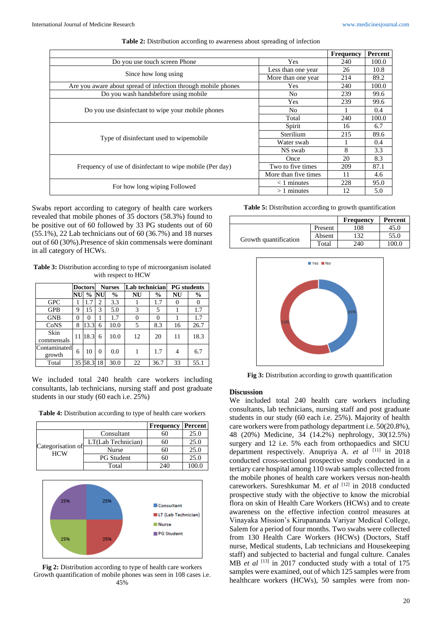|                                                               |                      | <b>Frequency</b> | Percent |
|---------------------------------------------------------------|----------------------|------------------|---------|
| Do you use touch screen Phone                                 | <b>Yes</b>           | 240              | 100.0   |
| Since how long using                                          | Less than one year   | 26               | 10.8    |
|                                                               | More than one year   | 214              | 89.2    |
| Are you aware about spread of infection through mobile phones | Yes                  | 240              | 100.0   |
| Do you wash handsbefore using mobile                          | N <sub>o</sub>       | 239              | 99.6    |
|                                                               | Yes                  | 239              | 99.6    |
| Do you use disinfectant to wipe your mobile phones            | N <sub>0</sub>       |                  | 0.4     |
|                                                               | Total                | 240              | 100.0   |
|                                                               | Spirit               | 16               | 6.7     |
| Type of disinfectant used to wipemobile                       | Sterilium            | 215              | 89.6    |
|                                                               | Water swab           |                  | 0.4     |
|                                                               | NS swab              | 8                | 3.3     |
|                                                               | Once                 | 20               | 8.3     |
| Frequency of use of disinfectant to wipe mobile (Per day)     | Two to five times    | 209              | 87.1    |
|                                                               | More than five times | 11               | 4.6     |
| For how long wiping Followed                                  | $<$ 1 minutes        | 228              | 95.0    |
|                                                               | $>1$ minutes         | 12               | 5.0     |

| Table 2: Distribution according to awareness about spreading of infection |  |  |
|---------------------------------------------------------------------------|--|--|
|---------------------------------------------------------------------------|--|--|

Swabs report according to category of health care workers revealed that mobile phones of 35 doctors (58.3%) found to be positive out of 60 followed by 33 PG students out of 60 (55.1%), 22 Lab technicians out of 60 (36.7%) and 18 nurses out of 60 (30%).Presence of skin commensals were dominant in all category of HCWs.

**Table 3:** Distribution according to type of microorganism isolated with respect to HCW

| <b>Doctors</b>         |    | <b>Nurses</b> |                | Lab technician |    | <b>PG</b> students |    |      |
|------------------------|----|---------------|----------------|----------------|----|--------------------|----|------|
|                        | NU | $\frac{6}{9}$ | NU             | $\frac{0}{0}$  | NU | $\frac{6}{9}$      | NU | $\%$ |
| <b>GPC</b>             |    | .7            | $\overline{c}$ | 3.3            |    | 1.7                |    | 0    |
| <b>GPB</b>             | 9  | 15            | 3              | 5.0            | 3  | 5                  |    | 1.7  |
| <b>GNB</b>             | 0  | 0             |                | 1.7            | 0  | 0                  |    | 1.7  |
| CoNS                   | 8  | 13.3          | 6              | 10.0           | 5  | 8.3                | 16 | 26.7 |
| Skin<br>commensals     | 11 | 18.3          | 6              | 10.0           | 12 | 20                 | 11 | 18.3 |
| Contaminated<br>growth | 6  | 10            | $\theta$       | 0.0            |    | 1.7                | 4  | 6.7  |
| Total                  | 35 | 58.3          | 18             | 30.0           | 22 | 36.7               | 33 | 55.1 |

We included total 240 health care workers including consultants, lab technicians, nursing staff and post graduate students in our study (60 each i.e. 25%)

| Table 4: Distribution according to type of health care workers |  |
|----------------------------------------------------------------|--|
|----------------------------------------------------------------|--|

|                                 |                    | <b>Frequency</b> | Percent        |
|---------------------------------|--------------------|------------------|----------------|
| Categorisation of<br><b>HCW</b> | Consultant         |                  | 25.0           |
|                                 | LT(Lab Technician) |                  | 25.0           |
|                                 | Nurse              |                  | 25.0           |
|                                 | <b>PG</b> Student  |                  | 25.0           |
|                                 | Total              | 240              | $0.00^{\circ}$ |



**Fig 2:** Distribution according to type of health care workers Growth quantification of mobile phones was seen in 108 cases i.e. 45%

**Table 5:** Distribution according to growth quantification

|                       |         | Frequency | Percent |
|-----------------------|---------|-----------|---------|
|                       | Present | 108       | 45.0    |
| Growth quantification | Absent  |           | 55.0    |
|                       | Total   | 240       | 100.0   |



**Fig 3:** Distribution according to growth quantification

### **Discussion**

We included total 240 health care workers including consultants, lab technicians, nursing staff and post graduate students in our study (60 each i.e. 25%). Majority of health care workers were from pathology department i.e. 50(20.8%), 48 (20%) Medicine, 34 (14.2%) nephrology, 30(12.5%) surgery and 12 i.e. 5% each from orthopaedics and SICU department respectively. Anupriya A. *et al* [11] in 2018 conducted cross-sectional prospective study conducted in a tertiary care hospital among 110 swab samples collected from the mobile phones of health care workers versus non-health careworkers. Sureshkumar M. et al <a>[12]</a> in 2018 conducted prospective study with the objective to know the microbial flora on skin of Health Care Workers (HCWs) and to create awareness on the effective infection control measures at Vinayaka Mission's Kirupananda Variyar Medical College, Salem for a period of four months. Two swabs were collected from 130 Health Care Workers (HCWs) (Doctors, Staff nurse, Medical students, Lab technicians and Housekeeping staff) and subjected to bacterial and fungal culture. Canales MB *et al* <sup>[13]</sup> in 2017 conducted study with a total of 175 samples were examined, out of which 125 samples were from healthcare workers (HCWs), 50 samples were from non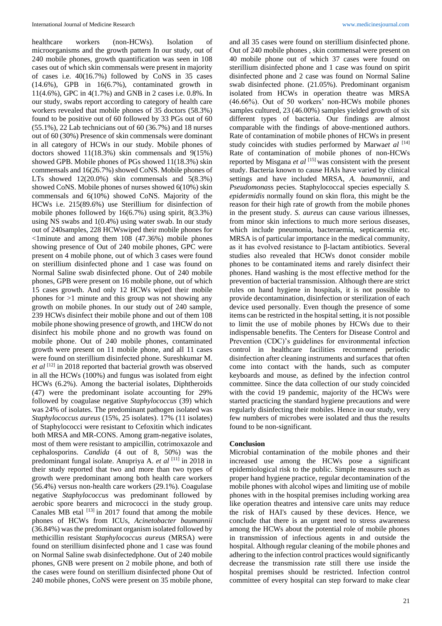healthcare workers (non-HCWs). Isolation of microorganisms and the growth pattern In our study, out of 240 mobile phones, growth quantification was seen in 108 cases out of which skin commensals were present in majority of cases i.e. 40(16.7%) followed by CoNS in 35 cases (14.6%), GPB in 16(6.7%), contaminated growth in 11(4.6%), GPC in 4(1.7%) and GNB in 2 cases i.e. 0.8%. In our study, swabs report according to category of health care workers revealed that mobile phones of 35 doctors (58.3%) found to be positive out of 60 followed by 33 PGs out of 60 (55.1%), 22 Lab technicians out of 60 (36.7%) and 18 nurses out of 60 (30%) Presence of skin commensals were dominant in all category of HCWs in our study. Mobile phones of doctors showed 11(18.3%) skin commensals and 9(15%) showed GPB. Mobile phones of PGs showed 11(18.3%) skin commensals and 16(26.7%) showed CoNS. Mobile phones of LTs showed  $12(20.0\%)$  skin commensals and  $5(8.3\%)$ showed CoNS. Mobile phones of nurses showed 6(10%) skin commensals and 6(10%) showed CoNS. Majority of the HCWs i.e. 215(89.6%) use Sterillium for disinfection of mobile phones followed by 16(6.7%) using spirit, 8(3.3%) using NS swabs and 1(0.4%) using water swab. In our study out of 240samples, 228 HCWswiped their mobile phones for <1minute and among them 108 (47.36%) mobile phones showing presence of Out of 240 mobile phones, GPC were present on 4 mobile phone, out of which 3 cases were found on sterillium disinfected phone and 1 case was found on Normal Saline swab disinfected phone. Out of 240 mobile phones, GPB were present on 16 mobile phone, out of which 15 cases growth. And only 12 HCWs wiped their mobile phones for >1 minute and this group was not showing any growth on mobile phones. In our study out of 240 sample, 239 HCWs disinfect their mobile phone and out of them 108 mobile phone showing presence of growth, and 1HCW do not disinfect his mobile phone and no growth was found on mobile phone. Out of 240 mobile phones, contaminated growth were present on 11 mobile phone, and all 11 cases were found on sterillium disinfected phone. Sureshkumar M. et al <sup>[12]</sup> in 2018 reported that bacterial growth was observed in all the HCWs (100%) and fungus was isolated from eight HCWs (6.2%). Among the bacterial isolates, Diphtheroids (47) were the predominant isolate accounting for 29% followed by coagulase negative *Staphylococcus* (39) which was 24% of isolates. The predominant pathogen isolated was *Staphylococcus aureus* (15%, 25 isolates). 17% (11 isolates) of Staphylococci were resistant to Cefoxitin which indicates both MRSA and MR-CONS. Among gram-negative isolates, most of them were resistant to ampicillin, cotrimoxazole and cephalosporins. *Candida* (4 out of 8, 50%) was the predominant fungal isolate. Anupriya A. *et al* [11] in 2018 in their study reported that two and more than two types of growth were predominant among both health care workers (56.4%) versus non-health care workers (29.1%). Coagulase negative *Staphylococcus* was predominant followed by aerobic spore bearers and micrococci in the study group. Canales MB etal  $[13]$  in 2017 found that among the mobile phones of HCWs from ICUs, *Acinetobacter baumannii*  (36.84%) was the predominant organism isolated followed by methicillin resistant *Staphylococcus aureus* (MRSA) were found on sterillium disinfected phone and 1 case was found on Normal Saline swab disinfectedphone. Out of 240 mobile phones, GNB were present on 2 mobile phone, and both of the cases were found on sterillium disinfected phone Out of 240 mobile phones, CoNS were present on 35 mobile phone,

and all 35 cases were found on sterillium disinfected phone. Out of 240 mobile phones , skin commensal were present on 40 mobile phone out of which 37 cases were found on sterillium disinfected phone and 1 case was found on spirit disinfected phone and 2 case was found on Normal Saline swab disinfected phone. (21.05%). Predominant organism isolated from HCWs in operation theatre was MRSA (46.66%). Out of 50 workers' non-HCWs mobile phones samples cultured, 23 (46.00%) samples yielded growth of six different types of bacteria. Our findings are almost comparable with the findings of above-mentioned authors. Rate of contamination of mobile phones of HCWs in present study coincides with studies performed by Marwa*et al* [14] Rate of contamination of mobile phones of non-HCWs reported by Misgana *et al* [15] was consistent with the present study. Bacteria known to cause HAIs have varied by clinical settings and have included MRSA, *A. baumannii*, and *Pseudomonas*s pecies. Staphylococcal species especially *S. epidermidis* normally found on skin flora, this might be the reason for their high rate of growth from the mobile phones in the present study. *S. aureus* can cause various illnesses, from minor skin infections to much more serious diseases, which include pneumonia, bacteraemia, septicaemia etc. MRSA is of particular importance in the medical community, as it has evolved resistance to β-lactam antibiotics. Several studies also revealed that HCWs donot consider mobile phones to be contaminated items and rarely disinfect their phones. Hand washing is the most effective method for the prevention of bacterial transmission. Although there are strict rules on hand hygiene in hospitals, it is not possible to provide decontamination, disinfection or sterilization of each device used personally. Even though the presence of some items can be restricted in the hospital setting, it is not possible to limit the use of mobile phones by HCWs due to their indispensable benefits. The Centers for Disease Control and Prevention (CDC)'s guidelines for environmental infection control in healthcare facilities recommend periodic disinfection after cleaning instruments and surfaces that often come into contact with the hands, such as computer keyboards and mouse, as defined by the infection control committee. Since the data collection of our study coincided with the covid 19 pandemic, majority of the HCWs were started practicing the standard hygiene precautions and were regularly disinfecting their mobiles. Hence in our study, very few numbers of microbes were isolated and thus the results found to be non-significant.

#### **Conclusion**

Microbial contamination of the mobile phones and their increased use among the HCWs pose a significant epidemiological risk to the public. Simple measures such as proper hand hygiene practice, regular decontamination of the mobile phones with alcohol wipes and limiting use of mobile phones with in the hospital premises including working area like operation theatres and intensive care units may reduce the risk of HAI's caused by these devices. Hence, we conclude that there is an urgent need to stress awareness among the HCWs about the potential role of mobile phones in transmission of infectious agents in and outside the hospital. Although regular cleaning of the mobile phones and adhering to the infection control practices would significantly decrease the transmission rate still there use inside the hospital premises should be restricted. Infection control committee of every hospital can step forward to make clear